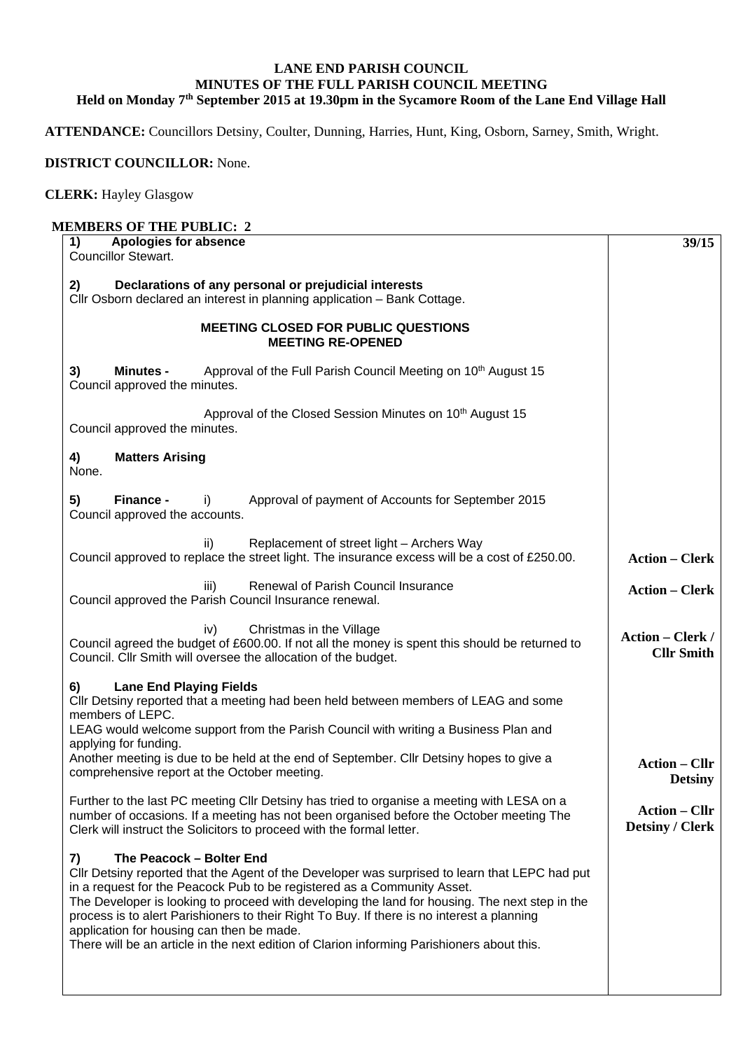## **LANE END PARISH COUNCIL MINUTES OF THE FULL PARISH COUNCIL MEETING**  Held on Monday 7<sup>th</sup> September 2015 at 19.30pm in the Sycamore Room of the Lane End Village Hall

**ATTENDANCE:** Councillors Detsiny, Coulter, Dunning, Harries, Hunt, King, Osborn, Sarney, Smith, Wright.

## **DISTRICT COUNCILLOR:** None.

## **CLERK:** Hayley Glasgow

## **MEMBERS OF THE PUBLIC: 2**

| Apologies for absence<br>1)<br><b>Councillor Stewart.</b>                                                                                                                                                                                                                                                                                                                                                                                                                                                                                              | 39/15                                          |
|--------------------------------------------------------------------------------------------------------------------------------------------------------------------------------------------------------------------------------------------------------------------------------------------------------------------------------------------------------------------------------------------------------------------------------------------------------------------------------------------------------------------------------------------------------|------------------------------------------------|
| Declarations of any personal or prejudicial interests<br>2)                                                                                                                                                                                                                                                                                                                                                                                                                                                                                            |                                                |
| Cllr Osborn declared an interest in planning application - Bank Cottage.                                                                                                                                                                                                                                                                                                                                                                                                                                                                               |                                                |
| <b>MEETING CLOSED FOR PUBLIC QUESTIONS</b><br><b>MEETING RE-OPENED</b>                                                                                                                                                                                                                                                                                                                                                                                                                                                                                 |                                                |
| Approval of the Full Parish Council Meeting on 10 <sup>th</sup> August 15<br>3)<br><b>Minutes -</b><br>Council approved the minutes.                                                                                                                                                                                                                                                                                                                                                                                                                   |                                                |
| Approval of the Closed Session Minutes on 10 <sup>th</sup> August 15<br>Council approved the minutes.                                                                                                                                                                                                                                                                                                                                                                                                                                                  |                                                |
| <b>Matters Arising</b><br>4)<br>None.                                                                                                                                                                                                                                                                                                                                                                                                                                                                                                                  |                                                |
| 5)<br>Finance -<br>Approval of payment of Accounts for September 2015<br>i)<br>Council approved the accounts.                                                                                                                                                                                                                                                                                                                                                                                                                                          |                                                |
| Replacement of street light - Archers Way<br>ii)<br>Council approved to replace the street light. The insurance excess will be a cost of £250.00.                                                                                                                                                                                                                                                                                                                                                                                                      | <b>Action – Clerk</b>                          |
| Renewal of Parish Council Insurance<br>iii)<br>Council approved the Parish Council Insurance renewal.                                                                                                                                                                                                                                                                                                                                                                                                                                                  | <b>Action – Clerk</b>                          |
| Christmas in the Village<br>iv)<br>Council agreed the budget of £600.00. If not all the money is spent this should be returned to<br>Council. Cllr Smith will oversee the allocation of the budget.                                                                                                                                                                                                                                                                                                                                                    | <b>Action - Clerk /</b><br><b>Cllr Smith</b>   |
| 6)<br><b>Lane End Playing Fields</b><br>CIIr Detsiny reported that a meeting had been held between members of LEAG and some<br>members of LEPC.<br>LEAG would welcome support from the Parish Council with writing a Business Plan and<br>applying for funding.<br>Another meeting is due to be held at the end of September. Cllr Detsiny hopes to give a<br>comprehensive report at the October meeting.                                                                                                                                             | <b>Action – Cllr</b><br><b>Detsiny</b>         |
| Further to the last PC meeting Cllr Detsiny has tried to organise a meeting with LESA on a<br>number of occasions. If a meeting has not been organised before the October meeting The<br>Clerk will instruct the Solicitors to proceed with the formal letter.                                                                                                                                                                                                                                                                                         | <b>Action – Cllr</b><br><b>Detsiny / Clerk</b> |
| The Peacock - Bolter End<br>7)<br>Cllr Detsiny reported that the Agent of the Developer was surprised to learn that LEPC had put<br>in a request for the Peacock Pub to be registered as a Community Asset.<br>The Developer is looking to proceed with developing the land for housing. The next step in the<br>process is to alert Parishioners to their Right To Buy. If there is no interest a planning<br>application for housing can then be made.<br>There will be an article in the next edition of Clarion informing Parishioners about this. |                                                |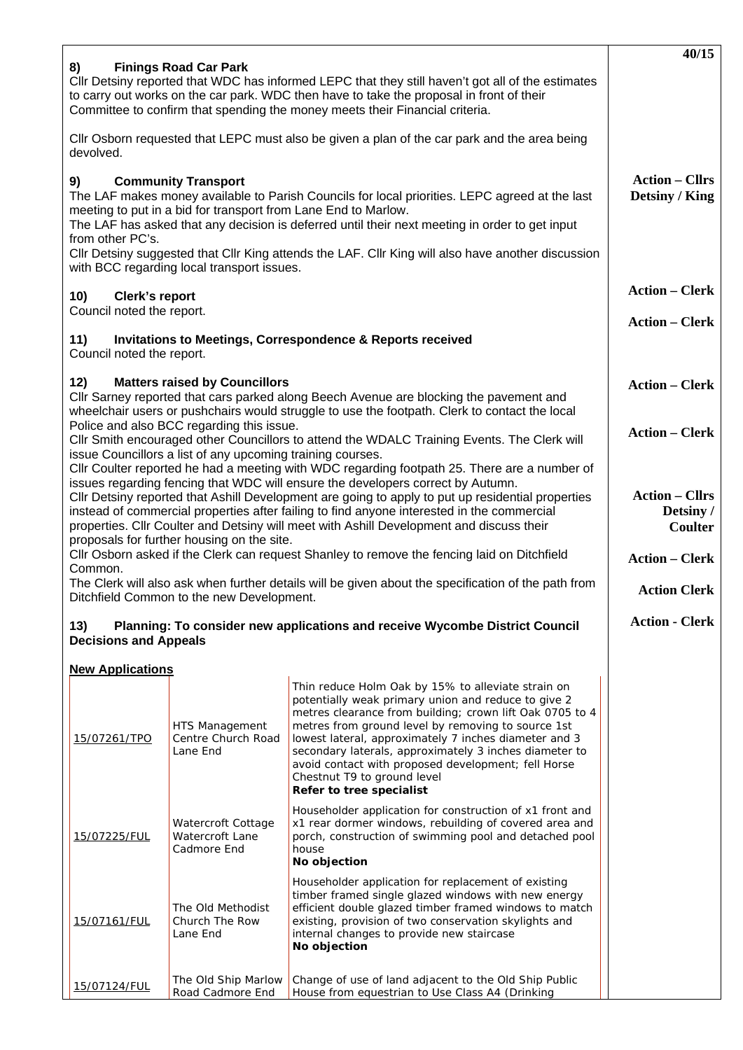|                                                                                                                                                                                                                                                                                                                                                                                                                                                                                |                                                      |                                                                                                                                                                                                                                                                                                                                                                                                                                                                  | 40/15                 |  |
|--------------------------------------------------------------------------------------------------------------------------------------------------------------------------------------------------------------------------------------------------------------------------------------------------------------------------------------------------------------------------------------------------------------------------------------------------------------------------------|------------------------------------------------------|------------------------------------------------------------------------------------------------------------------------------------------------------------------------------------------------------------------------------------------------------------------------------------------------------------------------------------------------------------------------------------------------------------------------------------------------------------------|-----------------------|--|
| 8)<br><b>Finings Road Car Park</b><br>Cllr Detsiny reported that WDC has informed LEPC that they still haven't got all of the estimates<br>to carry out works on the car park. WDC then have to take the proposal in front of their<br>Committee to confirm that spending the money meets their Financial criteria.                                                                                                                                                            |                                                      |                                                                                                                                                                                                                                                                                                                                                                                                                                                                  |                       |  |
| Cllr Osborn requested that LEPC must also be given a plan of the car park and the area being<br>devolved.                                                                                                                                                                                                                                                                                                                                                                      |                                                      |                                                                                                                                                                                                                                                                                                                                                                                                                                                                  |                       |  |
| <b>Community Transport</b><br>9)<br>The LAF makes money available to Parish Councils for local priorities. LEPC agreed at the last<br>meeting to put in a bid for transport from Lane End to Marlow.<br>The LAF has asked that any decision is deferred until their next meeting in order to get input<br>from other PC's.<br>CIIr Detsiny suggested that CIIr King attends the LAF. CIIr King will also have another discussion<br>with BCC regarding local transport issues. | <b>Action – Cllrs</b><br>Detsiny / King              |                                                                                                                                                                                                                                                                                                                                                                                                                                                                  |                       |  |
| 10)<br><b>Clerk's report</b><br>Council noted the report.                                                                                                                                                                                                                                                                                                                                                                                                                      | <b>Action - Clerk</b>                                |                                                                                                                                                                                                                                                                                                                                                                                                                                                                  |                       |  |
| 11)<br><b>Invitations to Meetings, Correspondence &amp; Reports received</b><br>Council noted the report.                                                                                                                                                                                                                                                                                                                                                                      | <b>Action – Clerk</b>                                |                                                                                                                                                                                                                                                                                                                                                                                                                                                                  |                       |  |
| 12)<br><b>Matters raised by Councillors</b><br>Cllr Sarney reported that cars parked along Beech Avenue are blocking the pavement and<br>wheelchair users or pushchairs would struggle to use the footpath. Clerk to contact the local                                                                                                                                                                                                                                         | <b>Action – Clerk</b>                                |                                                                                                                                                                                                                                                                                                                                                                                                                                                                  |                       |  |
| Police and also BCC regarding this issue.<br>CIIr Smith encouraged other Councillors to attend the WDALC Training Events. The Clerk will<br>issue Councillors a list of any upcoming training courses.<br>Cllr Coulter reported he had a meeting with WDC regarding footpath 25. There are a number of                                                                                                                                                                         | <b>Action - Clerk</b>                                |                                                                                                                                                                                                                                                                                                                                                                                                                                                                  |                       |  |
| issues regarding fencing that WDC will ensure the developers correct by Autumn.<br>CIIr Detsiny reported that Ashill Development are going to apply to put up residential properties<br>instead of commercial properties after failing to find anyone interested in the commercial<br>properties. Cllr Coulter and Detsiny will meet with Ashill Development and discuss their<br>proposals for further housing on the site.                                                   | <b>Action – Cllrs</b><br>Detsiny /<br>Coulter        |                                                                                                                                                                                                                                                                                                                                                                                                                                                                  |                       |  |
| Cllr Osborn asked if the Clerk can request Shanley to remove the fencing laid on Ditchfield<br>Common.                                                                                                                                                                                                                                                                                                                                                                         | <b>Action - Clerk</b>                                |                                                                                                                                                                                                                                                                                                                                                                                                                                                                  |                       |  |
| The Clerk will also ask when further details will be given about the specification of the path from<br>Ditchfield Common to the new Development.                                                                                                                                                                                                                                                                                                                               | <b>Action Clerk</b>                                  |                                                                                                                                                                                                                                                                                                                                                                                                                                                                  |                       |  |
| 13)<br><b>Decisions and Appeals</b>                                                                                                                                                                                                                                                                                                                                                                                                                                            |                                                      | Planning: To consider new applications and receive Wycombe District Council                                                                                                                                                                                                                                                                                                                                                                                      | <b>Action - Clerk</b> |  |
| <b>New Applications</b>                                                                                                                                                                                                                                                                                                                                                                                                                                                        |                                                      |                                                                                                                                                                                                                                                                                                                                                                                                                                                                  |                       |  |
| 15/07261/TPO                                                                                                                                                                                                                                                                                                                                                                                                                                                                   | HTS Management<br>Centre Church Road<br>Lane End     | Thin reduce Holm Oak by 15% to alleviate strain on<br>potentially weak primary union and reduce to give 2<br>metres clearance from building; crown lift Oak 0705 to 4<br>metres from ground level by removing to source 1st<br>lowest lateral, approximately 7 inches diameter and 3<br>secondary laterals, approximately 3 inches diameter to<br>avoid contact with proposed development; fell Horse<br>Chestnut T9 to ground level<br>Refer to tree specialist |                       |  |
| 15/07225/FUL                                                                                                                                                                                                                                                                                                                                                                                                                                                                   | Watercroft Cottage<br>Watercroft Lane<br>Cadmore End | Householder application for construction of x1 front and<br>x1 rear dormer windows, rebuilding of covered area and<br>porch, construction of swimming pool and detached pool<br>house<br>No objection                                                                                                                                                                                                                                                            |                       |  |
| 15/07161/FUL                                                                                                                                                                                                                                                                                                                                                                                                                                                                   | The Old Methodist<br>Church The Row<br>Lane End      | Householder application for replacement of existing<br>timber framed single glazed windows with new energy<br>efficient double glazed timber framed windows to match<br>existing, provision of two conservation skylights and<br>internal changes to provide new staircase<br>No objection                                                                                                                                                                       |                       |  |
| 15/07124/FUL                                                                                                                                                                                                                                                                                                                                                                                                                                                                   | The Old Ship Marlow<br>Road Cadmore End              | Change of use of land adjacent to the Old Ship Public<br>House from equestrian to Use Class A4 (Drinking                                                                                                                                                                                                                                                                                                                                                         |                       |  |